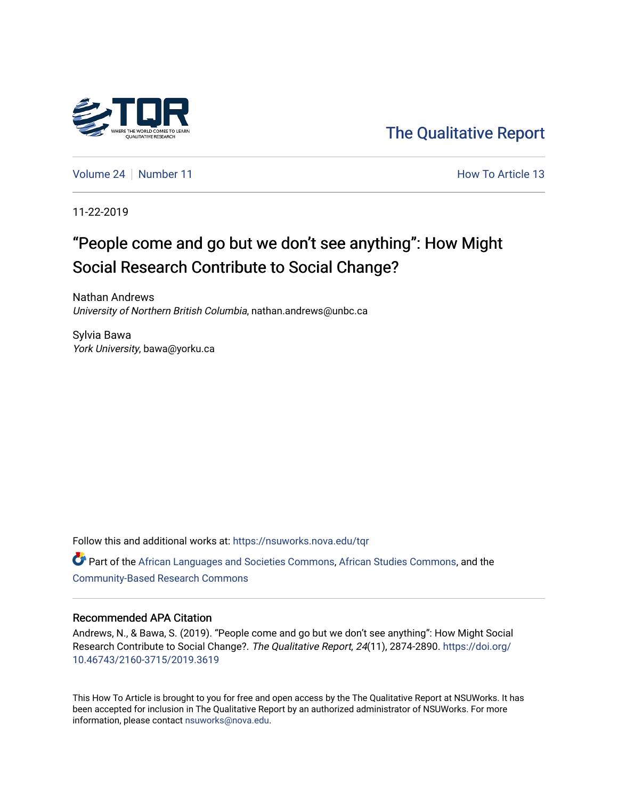

[The Qualitative Report](https://nsuworks.nova.edu/tqr) 

[Volume 24](https://nsuworks.nova.edu/tqr/vol24) [Number 11](https://nsuworks.nova.edu/tqr/vol24/iss11) **Number 11** According to Article 13 Article 13 Article 13 Article 13

11-22-2019

# "People come and go but we don't see anything": How Might Social Research Contribute to Social Change?

Nathan Andrews University of Northern British Columbia, nathan.andrews@unbc.ca

Sylvia Bawa York University, bawa@yorku.ca

Follow this and additional works at: [https://nsuworks.nova.edu/tqr](https://nsuworks.nova.edu/tqr?utm_source=nsuworks.nova.edu%2Ftqr%2Fvol24%2Fiss11%2F13&utm_medium=PDF&utm_campaign=PDFCoverPages) 

Part of the [African Languages and Societies Commons,](http://network.bepress.com/hgg/discipline/476?utm_source=nsuworks.nova.edu%2Ftqr%2Fvol24%2Fiss11%2F13&utm_medium=PDF&utm_campaign=PDFCoverPages) [African Studies Commons](http://network.bepress.com/hgg/discipline/1043?utm_source=nsuworks.nova.edu%2Ftqr%2Fvol24%2Fiss11%2F13&utm_medium=PDF&utm_campaign=PDFCoverPages), and the [Community-Based Research Commons](http://network.bepress.com/hgg/discipline/1047?utm_source=nsuworks.nova.edu%2Ftqr%2Fvol24%2Fiss11%2F13&utm_medium=PDF&utm_campaign=PDFCoverPages)

## Recommended APA Citation

Andrews, N., & Bawa, S. (2019). "People come and go but we don't see anything": How Might Social Research Contribute to Social Change?. The Qualitative Report, 24(11), 2874-2890. [https://doi.org/](https://doi.org/10.46743/2160-3715/2019.3619) [10.46743/2160-3715/2019.3619](https://doi.org/10.46743/2160-3715/2019.3619)

This How To Article is brought to you for free and open access by the The Qualitative Report at NSUWorks. It has been accepted for inclusion in The Qualitative Report by an authorized administrator of NSUWorks. For more information, please contact [nsuworks@nova.edu.](mailto:nsuworks@nova.edu)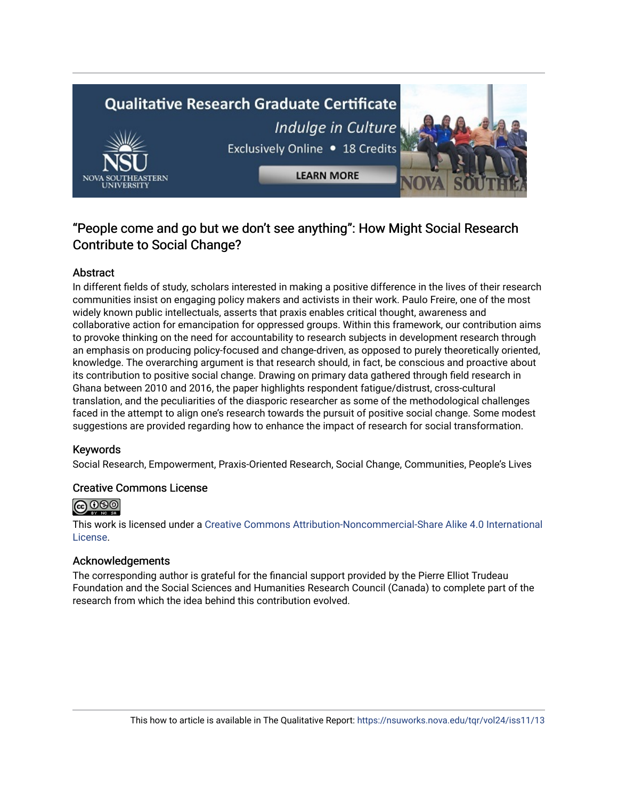# **Qualitative Research Graduate Certificate** Indulge in Culture Exclusively Online . 18 Credits



# "People come and go but we don't see anything": How Might Social Research Contribute to Social Change?

**LEARN MORE** 

# Abstract

In different fields of study, scholars interested in making a positive difference in the lives of their research communities insist on engaging policy makers and activists in their work. Paulo Freire, one of the most widely known public intellectuals, asserts that praxis enables critical thought, awareness and collaborative action for emancipation for oppressed groups. Within this framework, our contribution aims to provoke thinking on the need for accountability to research subjects in development research through an emphasis on producing policy-focused and change-driven, as opposed to purely theoretically oriented, knowledge. The overarching argument is that research should, in fact, be conscious and proactive about its contribution to positive social change. Drawing on primary data gathered through field research in Ghana between 2010 and 2016, the paper highlights respondent fatigue/distrust, cross-cultural translation, and the peculiarities of the diasporic researcher as some of the methodological challenges faced in the attempt to align one's research towards the pursuit of positive social change. Some modest suggestions are provided regarding how to enhance the impact of research for social transformation.

# Keywords

Social Research, Empowerment, Praxis-Oriented Research, Social Change, Communities, People's Lives

# Creative Commons License



This work is licensed under a [Creative Commons Attribution-Noncommercial-Share Alike 4.0 International](https://creativecommons.org/licenses/by-nc-sa/4.0/)  [License](https://creativecommons.org/licenses/by-nc-sa/4.0/).

# Acknowledgements

The corresponding author is grateful for the financial support provided by the Pierre Elliot Trudeau Foundation and the Social Sciences and Humanities Research Council (Canada) to complete part of the research from which the idea behind this contribution evolved.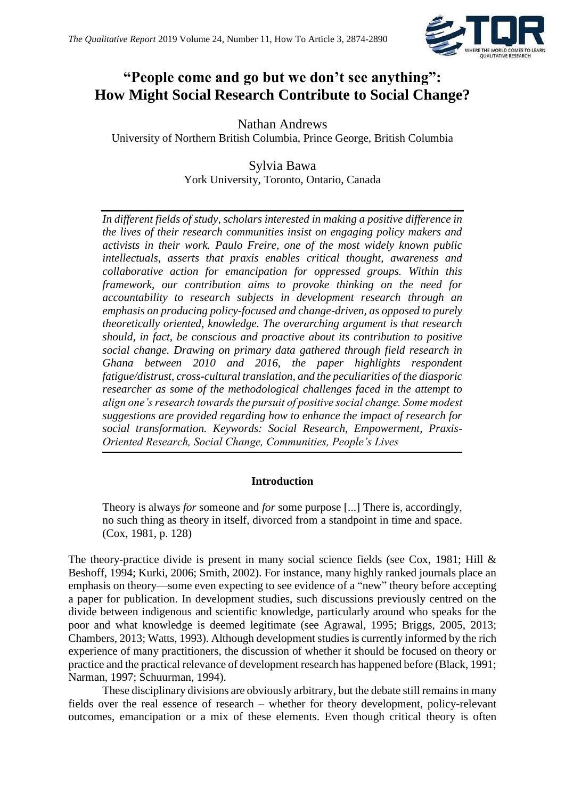

# **"People come and go but we don't see anything": How Might Social Research Contribute to Social Change?**

Nathan Andrews University of Northern British Columbia, Prince George, British Columbia

> Sylvia Bawa York University, Toronto, Ontario, Canada

*In different fields of study, scholars interested in making a positive difference in the lives of their research communities insist on engaging policy makers and activists in their work. Paulo Freire, one of the most widely known public intellectuals, asserts that praxis enables critical thought, awareness and collaborative action for emancipation for oppressed groups. Within this framework, our contribution aims to provoke thinking on the need for accountability to research subjects in development research through an emphasis on producing policy-focused and change-driven, as opposed to purely theoretically oriented, knowledge. The overarching argument is that research should, in fact, be conscious and proactive about its contribution to positive social change. Drawing on primary data gathered through field research in Ghana between 2010 and 2016, the paper highlights respondent fatigue/distrust, cross-cultural translation, and the peculiarities of the diasporic researcher as some of the methodological challenges faced in the attempt to align one's research towards the pursuit of positive social change. Some modest suggestions are provided regarding how to enhance the impact of research for social transformation. Keywords: Social Research, Empowerment, Praxis-Oriented Research, Social Change, Communities, People's Lives*

# **Introduction**

Theory is always *for* someone and *for* some purpose [...] There is, accordingly, no such thing as theory in itself, divorced from a standpoint in time and space. (Cox, 1981, p. 128)

The theory-practice divide is present in many social science fields (see Cox, 1981; Hill & Beshoff, 1994; Kurki, 2006; Smith, 2002). For instance, many highly ranked journals place an emphasis on theory—some even expecting to see evidence of a "new" theory before accepting a paper for publication. In development studies, such discussions previously centred on the divide between indigenous and scientific knowledge, particularly around who speaks for the poor and what knowledge is deemed legitimate (see Agrawal, 1995; Briggs, 2005, 2013; Chambers, 2013; Watts, 1993). Although development studies is currently informed by the rich experience of many practitioners, the discussion of whether it should be focused on theory or practice and the practical relevance of development research has happened before (Black, 1991; Narman, 1997; Schuurman, 1994).

These disciplinary divisions are obviously arbitrary, but the debate still remains in many fields over the real essence of research – whether for theory development, policy-relevant outcomes, emancipation or a mix of these elements. Even though critical theory is often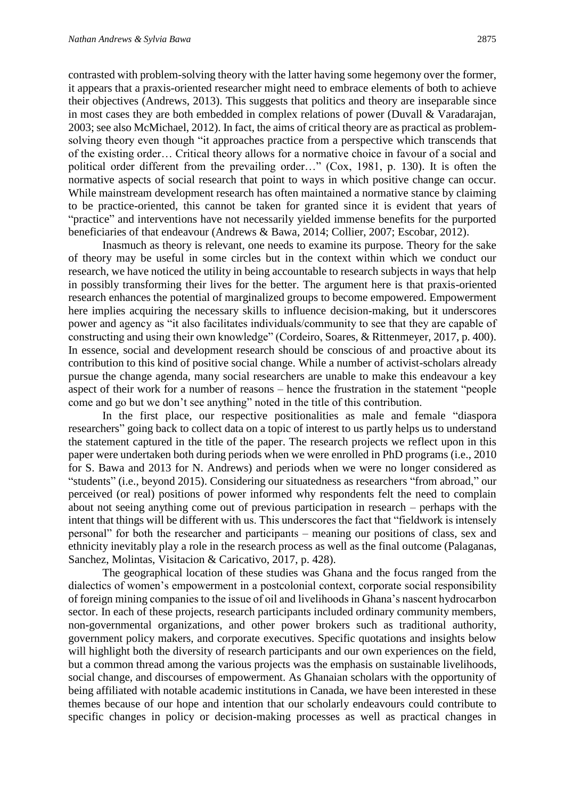contrasted with problem-solving theory with the latter having some hegemony over the former, it appears that a praxis-oriented researcher might need to embrace elements of both to achieve their objectives (Andrews, 2013). This suggests that politics and theory are inseparable since in most cases they are both embedded in complex relations of power (Duvall & Varadarajan, 2003; see also McMichael, 2012). In fact, the aims of critical theory are as practical as problemsolving theory even though "it approaches practice from a perspective which transcends that of the existing order… Critical theory allows for a normative choice in favour of a social and political order different from the prevailing order…" (Cox, 1981, p. 130). It is often the normative aspects of social research that point to ways in which positive change can occur. While mainstream development research has often maintained a normative stance by claiming to be practice-oriented, this cannot be taken for granted since it is evident that years of "practice" and interventions have not necessarily yielded immense benefits for the purported beneficiaries of that endeavour (Andrews & Bawa, 2014; Collier, 2007; Escobar, 2012).

Inasmuch as theory is relevant, one needs to examine its purpose. Theory for the sake of theory may be useful in some circles but in the context within which we conduct our research, we have noticed the utility in being accountable to research subjects in ways that help in possibly transforming their lives for the better. The argument here is that praxis-oriented research enhances the potential of marginalized groups to become empowered. Empowerment here implies acquiring the necessary skills to influence decision-making, but it underscores power and agency as "it also facilitates individuals/community to see that they are capable of constructing and using their own knowledge" (Cordeiro, Soares, & Rittenmeyer, 2017, p. 400). In essence, social and development research should be conscious of and proactive about its contribution to this kind of positive social change. While a number of activist-scholars already pursue the change agenda, many social researchers are unable to make this endeavour a key aspect of their work for a number of reasons – hence the frustration in the statement "people come and go but we don't see anything" noted in the title of this contribution.

In the first place, our respective positionalities as male and female "diaspora researchers" going back to collect data on a topic of interest to us partly helps us to understand the statement captured in the title of the paper. The research projects we reflect upon in this paper were undertaken both during periods when we were enrolled in PhD programs (i.e., 2010 for S. Bawa and 2013 for N. Andrews) and periods when we were no longer considered as "students" (i.e., beyond 2015). Considering our situatedness as researchers "from abroad," our perceived (or real) positions of power informed why respondents felt the need to complain about not seeing anything come out of previous participation in research – perhaps with the intent that things will be different with us. This underscores the fact that "fieldwork is intensely personal" for both the researcher and participants – meaning our positions of class, sex and ethnicity inevitably play a role in the research process as well as the final outcome (Palaganas, Sanchez, Molintas, Visitacion & Caricativo, 2017, p. 428).

The geographical location of these studies was Ghana and the focus ranged from the dialectics of women's empowerment in a postcolonial context, corporate social responsibility of foreign mining companies to the issue of oil and livelihoods in Ghana's nascent hydrocarbon sector. In each of these projects, research participants included ordinary community members, non-governmental organizations, and other power brokers such as traditional authority, government policy makers, and corporate executives. Specific quotations and insights below will highlight both the diversity of research participants and our own experiences on the field, but a common thread among the various projects was the emphasis on sustainable livelihoods, social change, and discourses of empowerment. As Ghanaian scholars with the opportunity of being affiliated with notable academic institutions in Canada, we have been interested in these themes because of our hope and intention that our scholarly endeavours could contribute to specific changes in policy or decision-making processes as well as practical changes in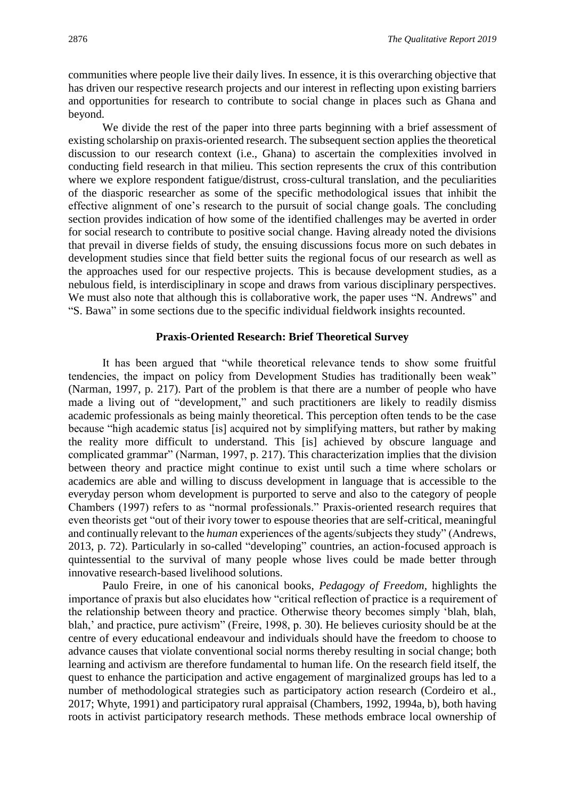communities where people live their daily lives. In essence, it is this overarching objective that has driven our respective research projects and our interest in reflecting upon existing barriers and opportunities for research to contribute to social change in places such as Ghana and beyond.

We divide the rest of the paper into three parts beginning with a brief assessment of existing scholarship on praxis-oriented research. The subsequent section applies the theoretical discussion to our research context (i.e., Ghana) to ascertain the complexities involved in conducting field research in that milieu. This section represents the crux of this contribution where we explore respondent fatigue/distrust, cross-cultural translation, and the peculiarities of the diasporic researcher as some of the specific methodological issues that inhibit the effective alignment of one's research to the pursuit of social change goals. The concluding section provides indication of how some of the identified challenges may be averted in order for social research to contribute to positive social change. Having already noted the divisions that prevail in diverse fields of study, the ensuing discussions focus more on such debates in development studies since that field better suits the regional focus of our research as well as the approaches used for our respective projects. This is because development studies, as a nebulous field, is interdisciplinary in scope and draws from various disciplinary perspectives. We must also note that although this is collaborative work, the paper uses "N. Andrews" and "S. Bawa" in some sections due to the specific individual fieldwork insights recounted.

## **Praxis-Oriented Research: Brief Theoretical Survey**

It has been argued that "while theoretical relevance tends to show some fruitful tendencies, the impact on policy from Development Studies has traditionally been weak" (Narman, 1997, p. 217). Part of the problem is that there are a number of people who have made a living out of "development," and such practitioners are likely to readily dismiss academic professionals as being mainly theoretical. This perception often tends to be the case because "high academic status [is] acquired not by simplifying matters, but rather by making the reality more difficult to understand. This [is] achieved by obscure language and complicated grammar" (Narman, 1997, p. 217). This characterization implies that the division between theory and practice might continue to exist until such a time where scholars or academics are able and willing to discuss development in language that is accessible to the everyday person whom development is purported to serve and also to the category of people Chambers (1997) refers to as "normal professionals." Praxis-oriented research requires that even theorists get "out of their ivory tower to espouse theories that are self-critical, meaningful and continually relevant to the *human* experiences of the agents/subjects they study" (Andrews, 2013, p. 72). Particularly in so-called "developing" countries, an action-focused approach is quintessential to the survival of many people whose lives could be made better through innovative research-based livelihood solutions.

Paulo Freire, in one of his canonical books, *Pedagogy of Freedom,* highlights the importance of praxis but also elucidates how "critical reflection of practice is a requirement of the relationship between theory and practice. Otherwise theory becomes simply 'blah, blah, blah,' and practice, pure activism" (Freire, 1998, p. 30). He believes curiosity should be at the centre of every educational endeavour and individuals should have the freedom to choose to advance causes that violate conventional social norms thereby resulting in social change; both learning and activism are therefore fundamental to human life. On the research field itself, the quest to enhance the participation and active engagement of marginalized groups has led to a number of methodological strategies such as participatory action research (Cordeiro et al., 2017; Whyte, 1991) and participatory rural appraisal (Chambers, 1992, 1994a, b), both having roots in activist participatory research methods. These methods embrace local ownership of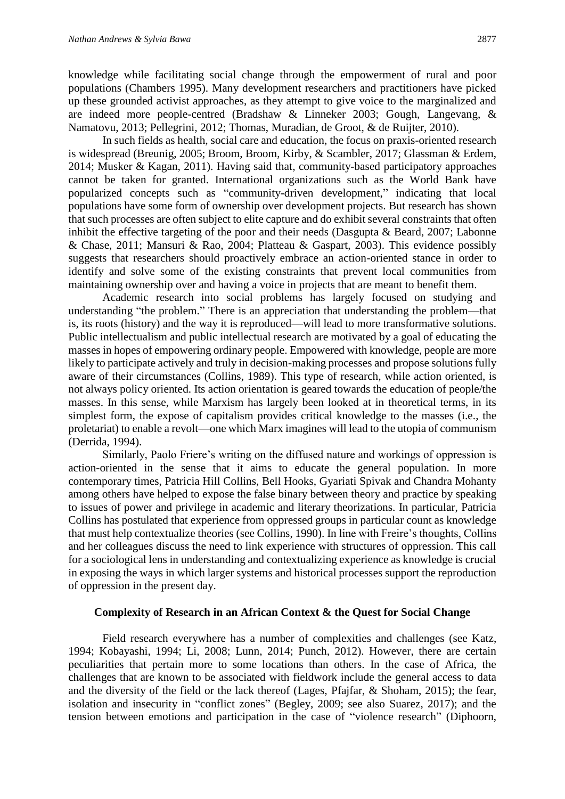knowledge while facilitating social change through the empowerment of rural and poor populations (Chambers 1995). Many development researchers and practitioners have picked up these grounded activist approaches, as they attempt to give voice to the marginalized and are indeed more people-centred (Bradshaw & Linneker 2003; Gough, Langevang, & Namatovu, 2013; Pellegrini, 2012; Thomas, Muradian, de Groot, & de Ruijter, 2010).

In such fields as health, social care and education, the focus on praxis-oriented research is widespread (Breunig, 2005; Broom, Broom, Kirby, & Scambler, 2017; Glassman & Erdem, 2014; Musker & Kagan, 2011). Having said that, community-based participatory approaches cannot be taken for granted. International organizations such as the World Bank have popularized concepts such as "community-driven development," indicating that local populations have some form of ownership over development projects. But research has shown that such processes are often subject to elite capture and do exhibit several constraints that often inhibit the effective targeting of the poor and their needs (Dasgupta & Beard, 2007; Labonne & Chase, 2011; Mansuri & Rao, 2004; Platteau & Gaspart, 2003). This evidence possibly suggests that researchers should proactively embrace an action-oriented stance in order to identify and solve some of the existing constraints that prevent local communities from maintaining ownership over and having a voice in projects that are meant to benefit them.

Academic research into social problems has largely focused on studying and understanding "the problem." There is an appreciation that understanding the problem—that is, its roots (history) and the way it is reproduced—will lead to more transformative solutions. Public intellectualism and public intellectual research are motivated by a goal of educating the masses in hopes of empowering ordinary people. Empowered with knowledge, people are more likely to participate actively and truly in decision-making processes and propose solutions fully aware of their circumstances (Collins, 1989). This type of research, while action oriented, is not always policy oriented. Its action orientation is geared towards the education of people/the masses. In this sense, while Marxism has largely been looked at in theoretical terms, in its simplest form, the expose of capitalism provides critical knowledge to the masses (i.e., the proletariat) to enable a revolt—one which Marx imagines will lead to the utopia of communism (Derrida, 1994).

Similarly, Paolo Friere's writing on the diffused nature and workings of oppression is action-oriented in the sense that it aims to educate the general population. In more contemporary times, Patricia Hill Collins, Bell Hooks, Gyariati Spivak and Chandra Mohanty among others have helped to expose the false binary between theory and practice by speaking to issues of power and privilege in academic and literary theorizations. In particular, Patricia Collins has postulated that experience from oppressed groups in particular count as knowledge that must help contextualize theories (see Collins, 1990). In line with Freire's thoughts, Collins and her colleagues discuss the need to link experience with structures of oppression. This call for a sociological lens in understanding and contextualizing experience as knowledge is crucial in exposing the ways in which larger systems and historical processes support the reproduction of oppression in the present day.

#### **Complexity of Research in an African Context & the Quest for Social Change**

Field research everywhere has a number of complexities and challenges (see Katz, 1994; Kobayashi, 1994; Li, 2008; Lunn, 2014; Punch, 2012). However, there are certain peculiarities that pertain more to some locations than others. In the case of Africa, the challenges that are known to be associated with fieldwork include the general access to data and the diversity of the field or the lack thereof (Lages, Pfajfar, & Shoham, 2015); the fear, isolation and insecurity in "conflict zones" (Begley, 2009; see also Suarez, 2017); and the tension between emotions and participation in the case of "violence research" (Diphoorn,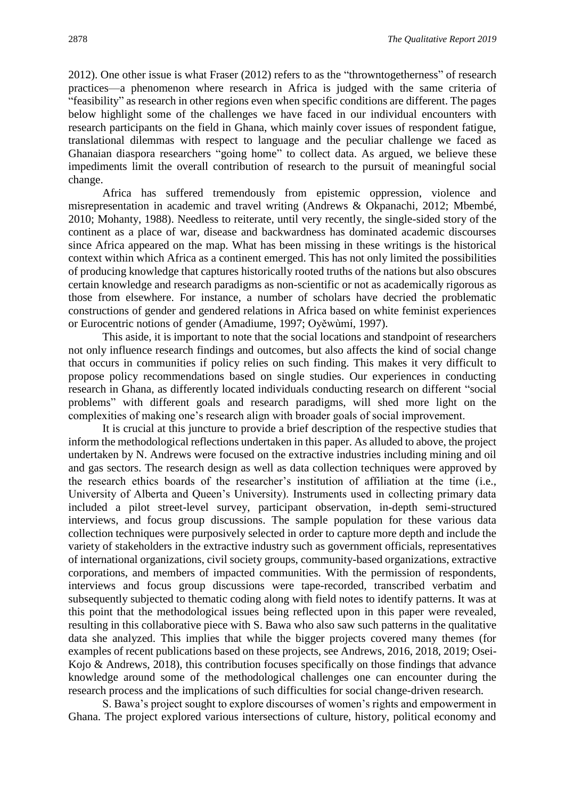2012). One other issue is what Fraser (2012) refers to as the "throwntogetherness" of research practices—a phenomenon where research in Africa is judged with the same criteria of "feasibility" as research in other regions even when specific conditions are different. The pages below highlight some of the challenges we have faced in our individual encounters with research participants on the field in Ghana, which mainly cover issues of respondent fatigue, translational dilemmas with respect to language and the peculiar challenge we faced as Ghanaian diaspora researchers "going home" to collect data. As argued, we believe these impediments limit the overall contribution of research to the pursuit of meaningful social change.

Africa has suffered tremendously from epistemic oppression, violence and misrepresentation in academic and travel writing (Andrews & Okpanachi, 2012; Mbembé, 2010; Mohanty, 1988). Needless to reiterate, until very recently, the single-sided story of the continent as a place of war, disease and backwardness has dominated academic discourses since Africa appeared on the map. What has been missing in these writings is the historical context within which Africa as a continent emerged. This has not only limited the possibilities of producing knowledge that captures historically rooted truths of the nations but also obscures certain knowledge and research paradigms as non-scientific or not as academically rigorous as those from elsewhere. For instance, a number of scholars have decried the problematic constructions of gender and gendered relations in Africa based on white feminist experiences or Eurocentric notions of gender (Amadiume, 1997; Oyěwùmí, 1997).

This aside, it is important to note that the social locations and standpoint of researchers not only influence research findings and outcomes, but also affects the kind of social change that occurs in communities if policy relies on such finding. This makes it very difficult to propose policy recommendations based on single studies. Our experiences in conducting research in Ghana, as differently located individuals conducting research on different "social problems" with different goals and research paradigms, will shed more light on the complexities of making one's research align with broader goals of social improvement.

It is crucial at this juncture to provide a brief description of the respective studies that inform the methodological reflections undertaken in this paper. As alluded to above, the project undertaken by N. Andrews were focused on the extractive industries including mining and oil and gas sectors. The research design as well as data collection techniques were approved by the research ethics boards of the researcher's institution of affiliation at the time (i.e., University of Alberta and Queen's University). Instruments used in collecting primary data included a pilot street-level survey, participant observation, in-depth semi-structured interviews, and focus group discussions. The sample population for these various data collection techniques were purposively selected in order to capture more depth and include the variety of stakeholders in the extractive industry such as government officials, representatives of international organizations, civil society groups, community-based organizations, extractive corporations, and members of impacted communities. With the permission of respondents, interviews and focus group discussions were tape-recorded, transcribed verbatim and subsequently subjected to thematic coding along with field notes to identify patterns. It was at this point that the methodological issues being reflected upon in this paper were revealed, resulting in this collaborative piece with S. Bawa who also saw such patterns in the qualitative data she analyzed. This implies that while the bigger projects covered many themes (for examples of recent publications based on these projects, see Andrews, 2016, 2018, 2019; Osei-Kojo & Andrews, 2018), this contribution focuses specifically on those findings that advance knowledge around some of the methodological challenges one can encounter during the research process and the implications of such difficulties for social change-driven research.

S. Bawa's project sought to explore discourses of women's rights and empowerment in Ghana. The project explored various intersections of culture, history, political economy and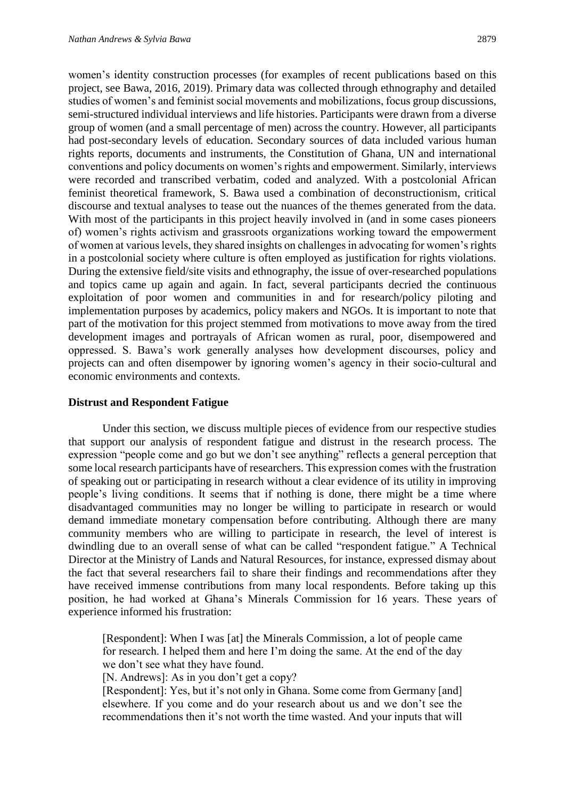women's identity construction processes (for examples of recent publications based on this project, see Bawa, 2016, 2019). Primary data was collected through ethnography and detailed studies of women's and feminist social movements and mobilizations, focus group discussions, semi-structured individual interviews and life histories. Participants were drawn from a diverse group of women (and a small percentage of men) across the country. However, all participants had post-secondary levels of education. Secondary sources of data included various human rights reports, documents and instruments, the Constitution of Ghana, UN and international conventions and policy documents on women's rights and empowerment. Similarly, interviews were recorded and transcribed verbatim, coded and analyzed. With a postcolonial African feminist theoretical framework, S. Bawa used a combination of deconstructionism, critical discourse and textual analyses to tease out the nuances of the themes generated from the data. With most of the participants in this project heavily involved in (and in some cases pioneers of) women's rights activism and grassroots organizations working toward the empowerment of women at various levels, they shared insights on challenges in advocating for women's rights in a postcolonial society where culture is often employed as justification for rights violations. During the extensive field/site visits and ethnography, the issue of over-researched populations and topics came up again and again. In fact, several participants decried the continuous exploitation of poor women and communities in and for research/policy piloting and implementation purposes by academics, policy makers and NGOs. It is important to note that part of the motivation for this project stemmed from motivations to move away from the tired development images and portrayals of African women as rural, poor, disempowered and oppressed. S. Bawa's work generally analyses how development discourses, policy and projects can and often disempower by ignoring women's agency in their socio-cultural and economic environments and contexts.

#### **Distrust and Respondent Fatigue**

Under this section, we discuss multiple pieces of evidence from our respective studies that support our analysis of respondent fatigue and distrust in the research process. The expression "people come and go but we don't see anything" reflects a general perception that some local research participants have of researchers. This expression comes with the frustration of speaking out or participating in research without a clear evidence of its utility in improving people's living conditions. It seems that if nothing is done, there might be a time where disadvantaged communities may no longer be willing to participate in research or would demand immediate monetary compensation before contributing. Although there are many community members who are willing to participate in research, the level of interest is dwindling due to an overall sense of what can be called "respondent fatigue." A Technical Director at the Ministry of Lands and Natural Resources, for instance, expressed dismay about the fact that several researchers fail to share their findings and recommendations after they have received immense contributions from many local respondents. Before taking up this position, he had worked at Ghana's Minerals Commission for 16 years. These years of experience informed his frustration:

[Respondent]: When I was [at] the Minerals Commission, a lot of people came for research. I helped them and here I'm doing the same. At the end of the day we don't see what they have found.

[N. Andrews]: As in you don't get a copy?

[Respondent]: Yes, but it's not only in Ghana. Some come from Germany [and] elsewhere. If you come and do your research about us and we don't see the recommendations then it's not worth the time wasted. And your inputs that will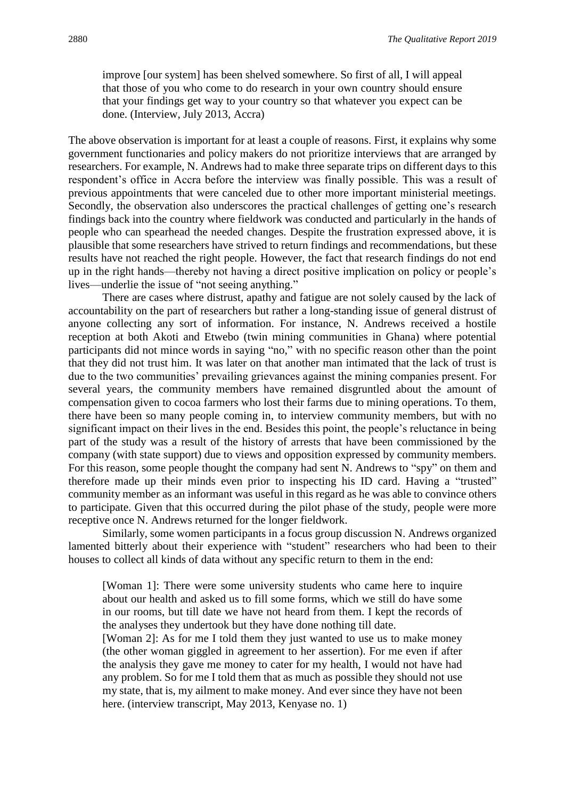improve [our system] has been shelved somewhere. So first of all, I will appeal that those of you who come to do research in your own country should ensure that your findings get way to your country so that whatever you expect can be done. (Interview, July 2013, Accra)

The above observation is important for at least a couple of reasons. First, it explains why some government functionaries and policy makers do not prioritize interviews that are arranged by researchers. For example, N. Andrews had to make three separate trips on different days to this respondent's office in Accra before the interview was finally possible. This was a result of previous appointments that were canceled due to other more important ministerial meetings. Secondly, the observation also underscores the practical challenges of getting one's research findings back into the country where fieldwork was conducted and particularly in the hands of people who can spearhead the needed changes. Despite the frustration expressed above, it is plausible that some researchers have strived to return findings and recommendations, but these results have not reached the right people. However, the fact that research findings do not end up in the right hands—thereby not having a direct positive implication on policy or people's lives—underlie the issue of "not seeing anything."

There are cases where distrust, apathy and fatigue are not solely caused by the lack of accountability on the part of researchers but rather a long-standing issue of general distrust of anyone collecting any sort of information. For instance, N. Andrews received a hostile reception at both Akoti and Etwebo (twin mining communities in Ghana) where potential participants did not mince words in saying "no," with no specific reason other than the point that they did not trust him. It was later on that another man intimated that the lack of trust is due to the two communities' prevailing grievances against the mining companies present. For several years, the community members have remained disgruntled about the amount of compensation given to cocoa farmers who lost their farms due to mining operations. To them, there have been so many people coming in, to interview community members, but with no significant impact on their lives in the end. Besides this point, the people's reluctance in being part of the study was a result of the history of arrests that have been commissioned by the company (with state support) due to views and opposition expressed by community members. For this reason, some people thought the company had sent N. Andrews to "spy" on them and therefore made up their minds even prior to inspecting his ID card. Having a "trusted" community member as an informant was useful in this regard as he was able to convince others to participate. Given that this occurred during the pilot phase of the study, people were more receptive once N. Andrews returned for the longer fieldwork.

Similarly, some women participants in a focus group discussion N. Andrews organized lamented bitterly about their experience with "student" researchers who had been to their houses to collect all kinds of data without any specific return to them in the end:

[Woman 1]: There were some university students who came here to inquire about our health and asked us to fill some forms, which we still do have some in our rooms, but till date we have not heard from them. I kept the records of the analyses they undertook but they have done nothing till date.

[Woman 2]: As for me I told them they just wanted to use us to make money (the other woman giggled in agreement to her assertion). For me even if after the analysis they gave me money to cater for my health, I would not have had any problem. So for me I told them that as much as possible they should not use my state, that is, my ailment to make money. And ever since they have not been here. (interview transcript, May 2013, Kenyase no. 1)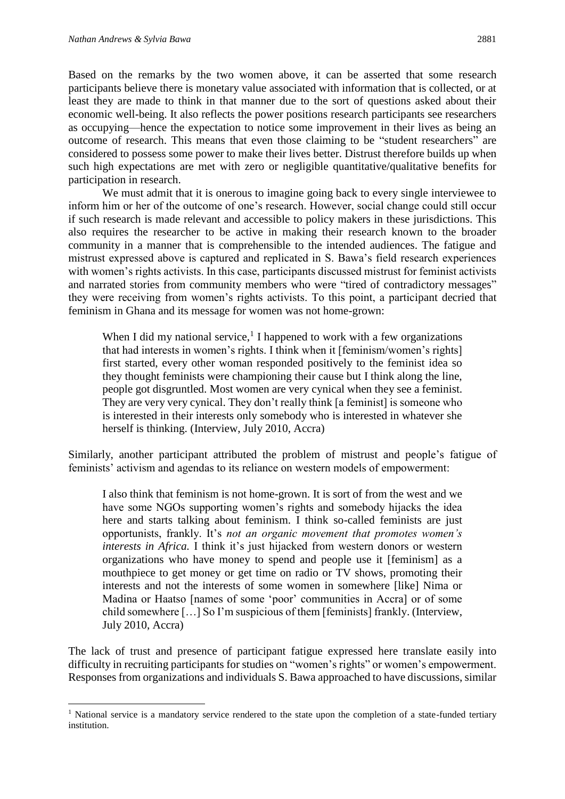1

Based on the remarks by the two women above, it can be asserted that some research participants believe there is monetary value associated with information that is collected, or at least they are made to think in that manner due to the sort of questions asked about their economic well-being. It also reflects the power positions research participants see researchers as occupying—hence the expectation to notice some improvement in their lives as being an outcome of research. This means that even those claiming to be "student researchers" are considered to possess some power to make their lives better. Distrust therefore builds up when such high expectations are met with zero or negligible quantitative/qualitative benefits for participation in research.

We must admit that it is onerous to imagine going back to every single interviewee to inform him or her of the outcome of one's research. However, social change could still occur if such research is made relevant and accessible to policy makers in these jurisdictions. This also requires the researcher to be active in making their research known to the broader community in a manner that is comprehensible to the intended audiences. The fatigue and mistrust expressed above is captured and replicated in S. Bawa's field research experiences with women's rights activists. In this case, participants discussed mistrust for feminist activists and narrated stories from community members who were "tired of contradictory messages" they were receiving from women's rights activists. To this point, a participant decried that feminism in Ghana and its message for women was not home-grown:

When I did my national service,<sup>1</sup> I happened to work with a few organizations that had interests in women's rights. I think when it [feminism/women's rights] first started, every other woman responded positively to the feminist idea so they thought feminists were championing their cause but I think along the line, people got disgruntled. Most women are very cynical when they see a feminist. They are very very cynical. They don't really think [a feminist] is someone who is interested in their interests only somebody who is interested in whatever she herself is thinking. (Interview, July 2010, Accra)

Similarly, another participant attributed the problem of mistrust and people's fatigue of feminists' activism and agendas to its reliance on western models of empowerment:

I also think that feminism is not home-grown. It is sort of from the west and we have some NGOs supporting women's rights and somebody hijacks the idea here and starts talking about feminism. I think so-called feminists are just opportunists, frankly. It's *not an organic movement that promotes women's interests in Africa.* I think it's just hijacked from western donors or western organizations who have money to spend and people use it [feminism] as a mouthpiece to get money or get time on radio or TV shows, promoting their interests and not the interests of some women in somewhere [like] Nima or Madina or Haatso [names of some 'poor' communities in Accra] or of some child somewhere […] So I'm suspicious of them [feminists] frankly. (Interview, July 2010, Accra)

The lack of trust and presence of participant fatigue expressed here translate easily into difficulty in recruiting participants for studies on "women's rights" or women's empowerment. Responses from organizations and individuals S. Bawa approached to have discussions, similar

<sup>&</sup>lt;sup>1</sup> National service is a mandatory service rendered to the state upon the completion of a state-funded tertiary institution.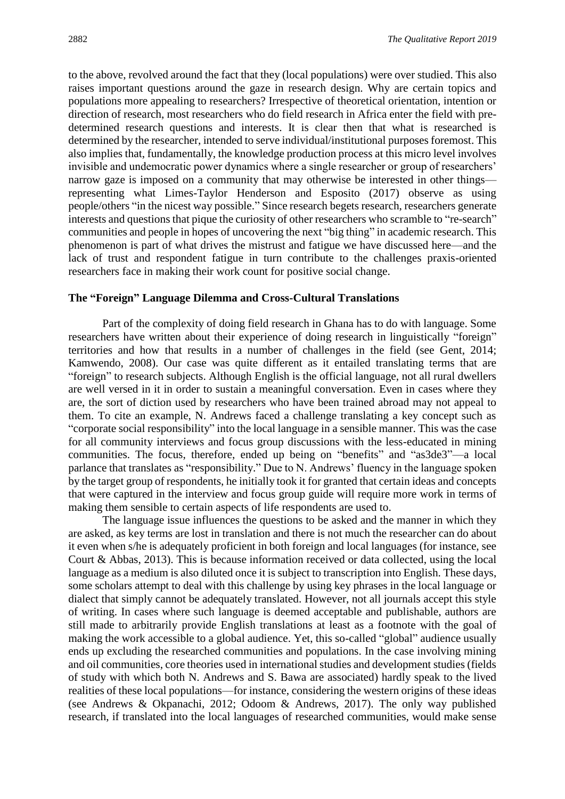to the above, revolved around the fact that they (local populations) were over studied. This also raises important questions around the gaze in research design. Why are certain topics and populations more appealing to researchers? Irrespective of theoretical orientation, intention or direction of research, most researchers who do field research in Africa enter the field with predetermined research questions and interests. It is clear then that what is researched is determined by the researcher, intended to serve individual/institutional purposes foremost. This also implies that, fundamentally, the knowledge production process at this micro level involves invisible and undemocratic power dynamics where a single researcher or group of researchers' narrow gaze is imposed on a community that may otherwise be interested in other things representing what Limes-Taylor Henderson and Esposito (2017) observe as using people/others "in the nicest way possible." Since research begets research, researchers generate interests and questions that pique the curiosity of other researchers who scramble to "re-search" communities and people in hopes of uncovering the next "big thing" in academic research. This phenomenon is part of what drives the mistrust and fatigue we have discussed here—and the lack of trust and respondent fatigue in turn contribute to the challenges praxis-oriented researchers face in making their work count for positive social change.

#### **The "Foreign" Language Dilemma and Cross-Cultural Translations**

Part of the complexity of doing field research in Ghana has to do with language. Some researchers have written about their experience of doing research in linguistically "foreign" territories and how that results in a number of challenges in the field (see Gent, 2014; Kamwendo, 2008). Our case was quite different as it entailed translating terms that are "foreign" to research subjects. Although English is the official language, not all rural dwellers are well versed in it in order to sustain a meaningful conversation. Even in cases where they are, the sort of diction used by researchers who have been trained abroad may not appeal to them. To cite an example, N. Andrews faced a challenge translating a key concept such as "corporate social responsibility" into the local language in a sensible manner. This was the case for all community interviews and focus group discussions with the less-educated in mining communities. The focus, therefore, ended up being on "benefits" and "as3de3"—a local parlance that translates as "responsibility." Due to N. Andrews' fluency in the language spoken by the target group of respondents, he initially took it for granted that certain ideas and concepts that were captured in the interview and focus group guide will require more work in terms of making them sensible to certain aspects of life respondents are used to.

The language issue influences the questions to be asked and the manner in which they are asked, as key terms are lost in translation and there is not much the researcher can do about it even when s/he is adequately proficient in both foreign and local languages (for instance, see Court & Abbas, 2013). This is because information received or data collected, using the local language as a medium is also diluted once it is subject to transcription into English. These days, some scholars attempt to deal with this challenge by using key phrases in the local language or dialect that simply cannot be adequately translated. However, not all journals accept this style of writing. In cases where such language is deemed acceptable and publishable, authors are still made to arbitrarily provide English translations at least as a footnote with the goal of making the work accessible to a global audience. Yet, this so-called "global" audience usually ends up excluding the researched communities and populations. In the case involving mining and oil communities, core theories used in international studies and development studies (fields of study with which both N. Andrews and S. Bawa are associated) hardly speak to the lived realities of these local populations—for instance, considering the western origins of these ideas (see Andrews & Okpanachi, 2012; Odoom & Andrews, 2017). The only way published research, if translated into the local languages of researched communities, would make sense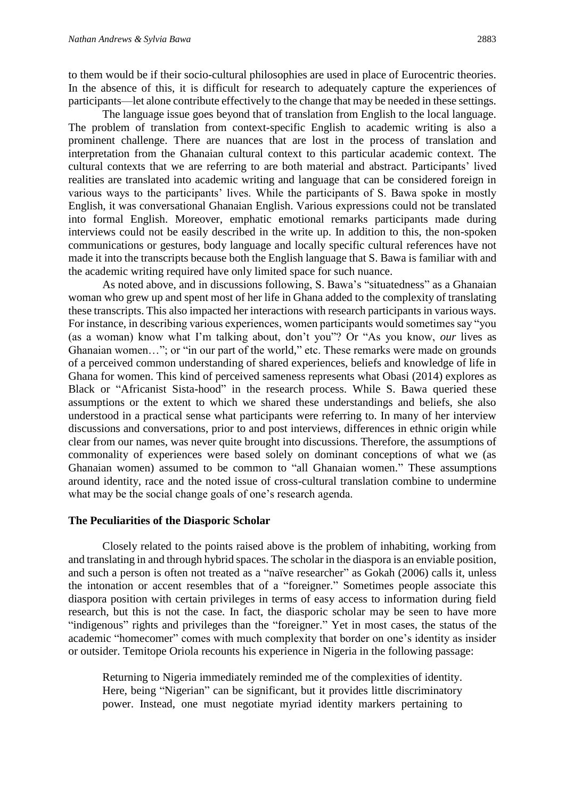to them would be if their socio-cultural philosophies are used in place of Eurocentric theories. In the absence of this, it is difficult for research to adequately capture the experiences of participants—let alone contribute effectively to the change that may be needed in these settings.

The language issue goes beyond that of translation from English to the local language. The problem of translation from context-specific English to academic writing is also a prominent challenge. There are nuances that are lost in the process of translation and interpretation from the Ghanaian cultural context to this particular academic context. The cultural contexts that we are referring to are both material and abstract. Participants' lived realities are translated into academic writing and language that can be considered foreign in various ways to the participants' lives. While the participants of S. Bawa spoke in mostly English, it was conversational Ghanaian English. Various expressions could not be translated into formal English. Moreover, emphatic emotional remarks participants made during interviews could not be easily described in the write up. In addition to this, the non-spoken communications or gestures, body language and locally specific cultural references have not made it into the transcripts because both the English language that S. Bawa is familiar with and the academic writing required have only limited space for such nuance.

As noted above, and in discussions following, S. Bawa's "situatedness" as a Ghanaian woman who grew up and spent most of her life in Ghana added to the complexity of translating these transcripts. This also impacted her interactions with research participants in various ways. For instance, in describing various experiences, women participants would sometimes say "you (as a woman) know what I'm talking about, don't you"? Or "As you know, *our* lives as Ghanaian women…"; or "in our part of the world," etc. These remarks were made on grounds of a perceived common understanding of shared experiences, beliefs and knowledge of life in Ghana for women. This kind of perceived sameness represents what Obasi (2014) explores as Black or "Africanist Sista-hood" in the research process. While S. Bawa queried these assumptions or the extent to which we shared these understandings and beliefs, she also understood in a practical sense what participants were referring to. In many of her interview discussions and conversations, prior to and post interviews, differences in ethnic origin while clear from our names, was never quite brought into discussions. Therefore, the assumptions of commonality of experiences were based solely on dominant conceptions of what we (as Ghanaian women) assumed to be common to "all Ghanaian women." These assumptions around identity, race and the noted issue of cross-cultural translation combine to undermine what may be the social change goals of one's research agenda.

## **The Peculiarities of the Diasporic Scholar**

Closely related to the points raised above is the problem of inhabiting, working from and translating in and through hybrid spaces. The scholar in the diaspora is an enviable position, and such a person is often not treated as a "naïve researcher" as Gokah (2006) calls it, unless the intonation or accent resembles that of a "foreigner." Sometimes people associate this diaspora position with certain privileges in terms of easy access to information during field research, but this is not the case. In fact, the diasporic scholar may be seen to have more "indigenous" rights and privileges than the "foreigner." Yet in most cases, the status of the academic "homecomer" comes with much complexity that border on one's identity as insider or outsider. Temitope Oriola recounts his experience in Nigeria in the following passage:

Returning to Nigeria immediately reminded me of the complexities of identity. Here, being "Nigerian" can be significant, but it provides little discriminatory power. Instead, one must negotiate myriad identity markers pertaining to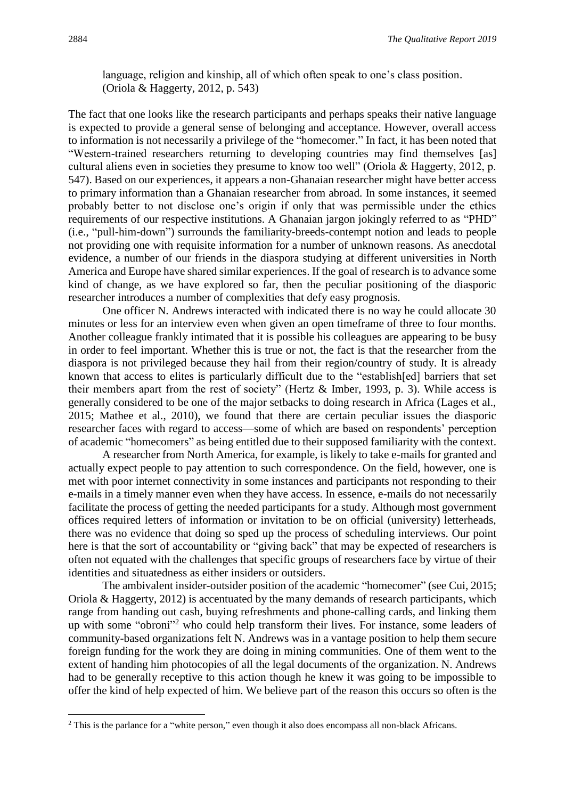language, religion and kinship, all of which often speak to one's class position. (Oriola & Haggerty, 2012, p. 543)

The fact that one looks like the research participants and perhaps speaks their native language is expected to provide a general sense of belonging and acceptance. However, overall access to information is not necessarily a privilege of the "homecomer." In fact, it has been noted that "Western-trained researchers returning to developing countries may find themselves [as] cultural aliens even in societies they presume to know too well" (Oriola & Haggerty, 2012, p. 547). Based on our experiences, it appears a non-Ghanaian researcher might have better access to primary information than a Ghanaian researcher from abroad. In some instances, it seemed probably better to not disclose one's origin if only that was permissible under the ethics requirements of our respective institutions. A Ghanaian jargon jokingly referred to as "PHD" (i.e., "pull-him-down") surrounds the familiarity-breeds-contempt notion and leads to people not providing one with requisite information for a number of unknown reasons. As anecdotal evidence, a number of our friends in the diaspora studying at different universities in North America and Europe have shared similar experiences. If the goal of research is to advance some kind of change, as we have explored so far, then the peculiar positioning of the diasporic researcher introduces a number of complexities that defy easy prognosis.

One officer N. Andrews interacted with indicated there is no way he could allocate 30 minutes or less for an interview even when given an open timeframe of three to four months. Another colleague frankly intimated that it is possible his colleagues are appearing to be busy in order to feel important. Whether this is true or not, the fact is that the researcher from the diaspora is not privileged because they hail from their region/country of study. It is already known that access to elites is particularly difficult due to the "establish[ed] barriers that set their members apart from the rest of society" (Hertz & Imber, 1993, p. 3). While access is generally considered to be one of the major setbacks to doing research in Africa (Lages et al., 2015; Mathee et al., 2010), we found that there are certain peculiar issues the diasporic researcher faces with regard to access—some of which are based on respondents' perception of academic "homecomers" as being entitled due to their supposed familiarity with the context.

A researcher from North America, for example, is likely to take e-mails for granted and actually expect people to pay attention to such correspondence. On the field, however, one is met with poor internet connectivity in some instances and participants not responding to their e-mails in a timely manner even when they have access. In essence, e-mails do not necessarily facilitate the process of getting the needed participants for a study. Although most government offices required letters of information or invitation to be on official (university) letterheads, there was no evidence that doing so sped up the process of scheduling interviews. Our point here is that the sort of accountability or "giving back" that may be expected of researchers is often not equated with the challenges that specific groups of researchers face by virtue of their identities and situatedness as either insiders or outsiders.

The ambivalent insider-outsider position of the academic "homecomer" (see Cui, 2015; Oriola & Haggerty, 2012) is accentuated by the many demands of research participants, which range from handing out cash, buying refreshments and phone-calling cards, and linking them up with some "obroni"<sup>2</sup> who could help transform their lives. For instance, some leaders of community-based organizations felt N. Andrews was in a vantage position to help them secure foreign funding for the work they are doing in mining communities. One of them went to the extent of handing him photocopies of all the legal documents of the organization. N. Andrews had to be generally receptive to this action though he knew it was going to be impossible to offer the kind of help expected of him. We believe part of the reason this occurs so often is the

**.** 

<sup>&</sup>lt;sup>2</sup> This is the parlance for a "white person," even though it also does encompass all non-black Africans.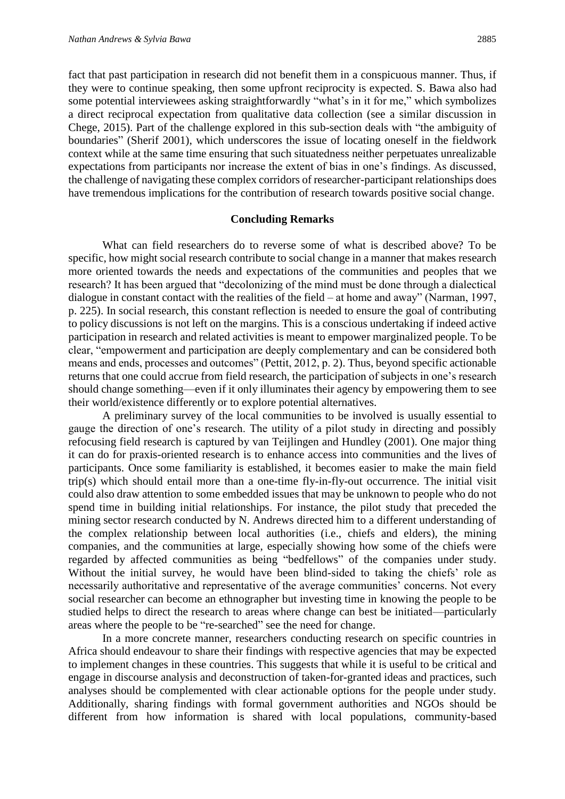fact that past participation in research did not benefit them in a conspicuous manner. Thus, if they were to continue speaking, then some upfront reciprocity is expected. S. Bawa also had some potential interviewees asking straightforwardly "what's in it for me," which symbolizes a direct reciprocal expectation from qualitative data collection (see a similar discussion in Chege, 2015). Part of the challenge explored in this sub-section deals with "the ambiguity of boundaries" (Sherif 2001), which underscores the issue of locating oneself in the fieldwork context while at the same time ensuring that such situatedness neither perpetuates unrealizable expectations from participants nor increase the extent of bias in one's findings. As discussed, the challenge of navigating these complex corridors of researcher-participant relationships does have tremendous implications for the contribution of research towards positive social change.

#### **Concluding Remarks**

What can field researchers do to reverse some of what is described above? To be specific, how might social research contribute to social change in a manner that makes research more oriented towards the needs and expectations of the communities and peoples that we research? It has been argued that "decolonizing of the mind must be done through a dialectical dialogue in constant contact with the realities of the field – at home and away" (Narman, 1997, p. 225). In social research, this constant reflection is needed to ensure the goal of contributing to policy discussions is not left on the margins. This is a conscious undertaking if indeed active participation in research and related activities is meant to empower marginalized people. To be clear, "empowerment and participation are deeply complementary and can be considered both means and ends, processes and outcomes" (Pettit, 2012, p. 2). Thus, beyond specific actionable returns that one could accrue from field research, the participation of subjects in one's research should change something—even if it only illuminates their agency by empowering them to see their world/existence differently or to explore potential alternatives.

A preliminary survey of the local communities to be involved is usually essential to gauge the direction of one's research. The utility of a pilot study in directing and possibly refocusing field research is captured by van Teijlingen and Hundley (2001). One major thing it can do for praxis-oriented research is to enhance access into communities and the lives of participants. Once some familiarity is established, it becomes easier to make the main field trip(s) which should entail more than a one-time fly-in-fly-out occurrence. The initial visit could also draw attention to some embedded issues that may be unknown to people who do not spend time in building initial relationships. For instance, the pilot study that preceded the mining sector research conducted by N. Andrews directed him to a different understanding of the complex relationship between local authorities (i.e., chiefs and elders), the mining companies, and the communities at large, especially showing how some of the chiefs were regarded by affected communities as being "bedfellows" of the companies under study. Without the initial survey, he would have been blind-sided to taking the chiefs' role as necessarily authoritative and representative of the average communities' concerns. Not every social researcher can become an ethnographer but investing time in knowing the people to be studied helps to direct the research to areas where change can best be initiated—particularly areas where the people to be "re-searched" see the need for change.

In a more concrete manner, researchers conducting research on specific countries in Africa should endeavour to share their findings with respective agencies that may be expected to implement changes in these countries. This suggests that while it is useful to be critical and engage in discourse analysis and deconstruction of taken-for-granted ideas and practices, such analyses should be complemented with clear actionable options for the people under study. Additionally, sharing findings with formal government authorities and NGOs should be different from how information is shared with local populations, community-based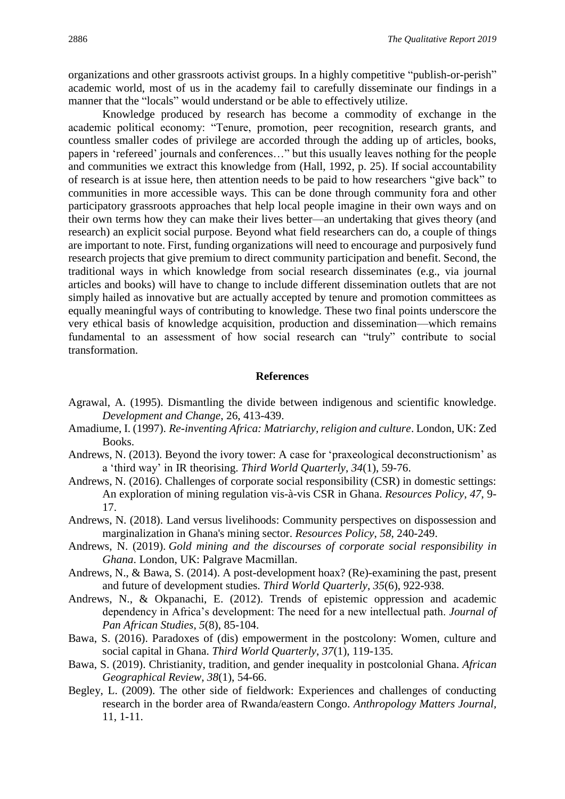organizations and other grassroots activist groups. In a highly competitive "publish-or-perish" academic world, most of us in the academy fail to carefully disseminate our findings in a manner that the "locals" would understand or be able to effectively utilize.

Knowledge produced by research has become a commodity of exchange in the academic political economy: "Tenure, promotion, peer recognition, research grants, and countless smaller codes of privilege are accorded through the adding up of articles, books, papers in 'refereed' journals and conferences…" but this usually leaves nothing for the people and communities we extract this knowledge from (Hall, 1992, p. 25). If social accountability of research is at issue here, then attention needs to be paid to how researchers "give back" to communities in more accessible ways. This can be done through community fora and other participatory grassroots approaches that help local people imagine in their own ways and on their own terms how they can make their lives better—an undertaking that gives theory (and research) an explicit social purpose. Beyond what field researchers can do, a couple of things are important to note. First, funding organizations will need to encourage and purposively fund research projects that give premium to direct community participation and benefit. Second, the traditional ways in which knowledge from social research disseminates (e.g., via journal articles and books) will have to change to include different dissemination outlets that are not simply hailed as innovative but are actually accepted by tenure and promotion committees as equally meaningful ways of contributing to knowledge. These two final points underscore the very ethical basis of knowledge acquisition, production and dissemination—which remains fundamental to an assessment of how social research can "truly" contribute to social transformation.

#### **References**

- Agrawal, A. (1995). Dismantling the divide between indigenous and scientific knowledge. *Development and Change*, 26, 413-439.
- Amadiume, I. (1997). *Re-inventing Africa: Matriarchy, religion and culture*. London, UK: Zed Books.
- Andrews, N. (2013). Beyond the ivory tower: A case for 'praxeological deconstructionism' as a 'third way' in IR theorising. *Third World Quarterly*, *34*(1), 59-76.
- Andrews, N. (2016). Challenges of corporate social responsibility (CSR) in domestic settings: An exploration of mining regulation vis-à-vis CSR in Ghana. *Resources Policy*, *47*, 9- 17.
- Andrews, N. (2018). Land versus livelihoods: Community perspectives on dispossession and marginalization in Ghana's mining sector. *Resources Policy*, *58*, 240-249.
- Andrews, N. (2019). *Gold mining and the discourses of corporate social responsibility in Ghana*. London, UK: Palgrave Macmillan.
- Andrews, N., & Bawa, S. (2014). A post-development hoax? (Re)-examining the past, present and future of development studies. *Third World Quarterly*, *35*(6), 922-938.
- Andrews, N., & Okpanachi, E. (2012). Trends of epistemic oppression and academic dependency in Africa's development: The need for a new intellectual path. *Journal of Pan African Studies*, *5*(8), 85-104.
- Bawa, S. (2016). Paradoxes of (dis) empowerment in the postcolony: Women, culture and social capital in Ghana. *Third World Quarterly*, *37*(1), 119-135.
- Bawa, S. (2019). Christianity, tradition, and gender inequality in postcolonial Ghana. *African Geographical Review*, *38*(1), 54-66.
- Begley, L. (2009). The other side of fieldwork: Experiences and challenges of conducting research in the border area of Rwanda/eastern Congo. *Anthropology Matters Journal,* 11, 1-11.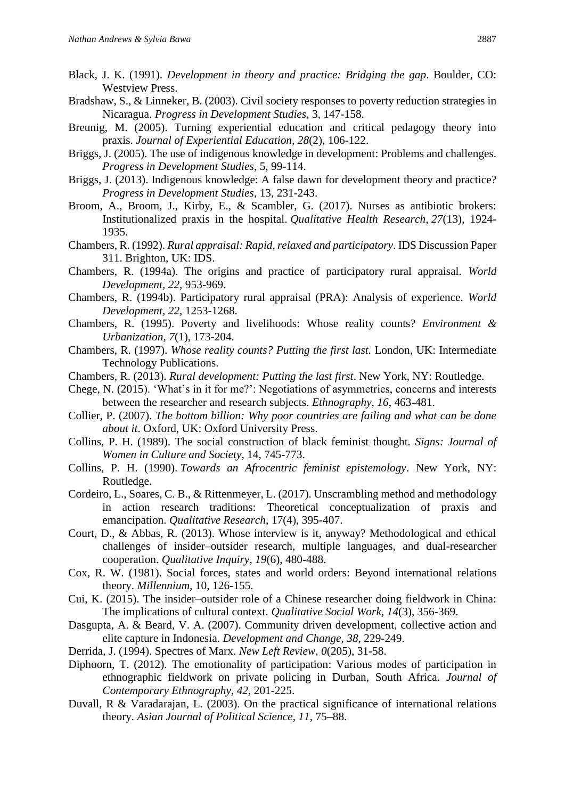- Black, J. K. (1991). *Development in theory and practice: Bridging the gap*. Boulder, CO: Westview Press.
- Bradshaw, S., & Linneker, B. (2003). Civil society responses to poverty reduction strategies in Nicaragua. *Progress in Development Studies,* 3, 147-158.
- Breunig, M. (2005). Turning experiential education and critical pedagogy theory into praxis. *Journal of Experiential Education*, *28*(2), 106-122.
- Briggs, J. (2005). The use of indigenous knowledge in development: Problems and challenges. *Progress in Development Studies,* 5, 99-114.
- Briggs, J. (2013). Indigenous knowledge: A false dawn for development theory and practice? *Progress in Development Studies,* 13, 231-243.
- Broom, A., Broom, J., Kirby, E., & Scambler, G. (2017). Nurses as antibiotic brokers: Institutionalized praxis in the hospital. *Qualitative Health Research*, *27*(13), 1924- 1935.
- Chambers, R. (1992). *Rural appraisal: Rapid, relaxed and participatory*. IDS Discussion Paper 311. Brighton, UK: IDS.
- Chambers, R. (1994a). The origins and practice of participatory rural appraisal. *World Development, 22*, 953-969.
- Chambers, R. (1994b). Participatory rural appraisal (PRA): Analysis of experience. *World Development, 22*, 1253-1268.
- Chambers, R. (1995). Poverty and livelihoods: Whose reality counts? *Environment & Urbanization, 7*(1), 173-204.
- Chambers, R. (1997). *Whose reality counts? Putting the first last.* London, UK: Intermediate Technology Publications.
- Chambers, R. (2013). *Rural development: Putting the last first*. New York, NY: Routledge.
- Chege, N. (2015). 'What's in it for me?': Negotiations of asymmetries, concerns and interests between the researcher and research subjects. *Ethnography, 16*, 463-481.
- Collier, P. (2007). *The bottom billion: Why poor countries are failing and what can be done about it*. Oxford, UK: Oxford University Press.
- Collins, P. H. (1989). The social construction of black feminist thought. *Signs: Journal of Women in Culture and Society*, 14, 745-773.
- Collins, P. H. (1990). *Towards an Afrocentric feminist epistemology*. New York, NY: Routledge.
- Cordeiro, L., Soares, C. B., & Rittenmeyer, L. (2017). Unscrambling method and methodology in action research traditions: Theoretical conceptualization of praxis and emancipation. *Qualitative Research*, 17(4), 395-407.
- Court, D., & Abbas, R. (2013). Whose interview is it, anyway? Methodological and ethical challenges of insider–outsider research, multiple languages, and dual-researcher cooperation. *Qualitative Inquiry*, *19*(6), 480-488.
- Cox, R. W. (1981). Social forces, states and world orders: Beyond international relations theory. *Millennium,* 10, 126-155.
- Cui, K. (2015). The insider–outsider role of a Chinese researcher doing fieldwork in China: The implications of cultural context. *Qualitative Social Work, 14*(3), 356-369.
- Dasgupta, A. & Beard, V. A. (2007). Community driven development, collective action and elite capture in Indonesia. *Development and Change, 38*, 229-249.
- Derrida, J. (1994). Spectres of Marx. *New Left Review, 0*(205), 31-58.
- Diphoorn, T. (2012). The emotionality of participation: Various modes of participation in ethnographic fieldwork on private policing in Durban, South Africa. *Journal of Contemporary Ethnography, 42*, 201-225.
- Duvall, R & Varadarajan, L. (2003). On the practical significance of international relations theory. *Asian Journal of Political Science, 11*, 75**–**88.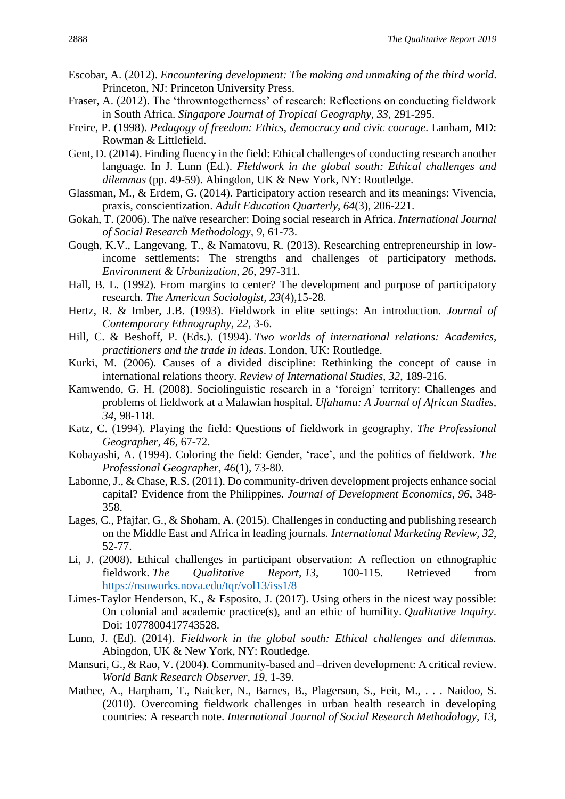- Escobar, A. (2012). *Encountering development: The making and unmaking of the third world*. Princeton, NJ: Princeton University Press.
- Fraser, A. (2012). The 'throwntogetherness' of research: Reflections on conducting fieldwork in South Africa. *Singapore Journal of Tropical Geography, 33*, 291-295.
- Freire, P. (1998). *Pedagogy of freedom: Ethics, democracy and civic courage*. Lanham, MD: Rowman & Littlefield.
- Gent, D. (2014). Finding fluency in the field: Ethical challenges of conducting research another language. In J. Lunn (Ed.). *Fieldwork in the global south: Ethical challenges and dilemmas* (pp. 49-59). Abingdon, UK & New York, NY: Routledge.
- Glassman, M., & Erdem, G. (2014). Participatory action research and its meanings: Vivencia, praxis, conscientization. *Adult Education Quarterly*, *64*(3), 206-221.
- Gokah, T. (2006). The naïve researcher: Doing social research in Africa. *International Journal of Social Research Methodology, 9*, 61-73.
- Gough, K.V., Langevang, T., & Namatovu, R. (2013). Researching entrepreneurship in lowincome settlements: The strengths and challenges of participatory methods. *Environment & Urbanization, 26*, 297-311.
- Hall, B. L. (1992). From margins to center? The development and purpose of participatory research. *The American Sociologist, 23*(4),15-28.
- Hertz, R. & Imber, J.B. (1993). Fieldwork in elite settings: An introduction. *Journal of Contemporary Ethnography, 22*, 3-6.
- Hill, C. & Beshoff, P. (Eds.). (1994). *Two worlds of international relations: Academics, practitioners and the trade in ideas*. London, UK: Routledge.
- Kurki, M. (2006). Causes of a divided discipline: Rethinking the concept of cause in international relations theory. *Review of International Studies, 32*, 189-216.
- Kamwendo, G. H. (2008). Sociolinguistic research in a 'foreign' territory: Challenges and problems of fieldwork at a Malawian hospital. *Ufahamu: A Journal of African Studies, 34*, 98-118.
- Katz, C. (1994). Playing the field: Questions of fieldwork in geography. *The Professional Geographer, 46*, 67-72.
- Kobayashi, A. (1994). Coloring the field: Gender, 'race', and the politics of fieldwork. *The Professional Geographer, 46*(1), 73-80.
- Labonne, J., & Chase, R.S. (2011). Do community-driven development projects enhance social capital? Evidence from the Philippines. *Journal of Development Economics, 96*, 348- 358.
- Lages, C., Pfajfar, G., & Shoham, A. (2015). Challenges in conducting and publishing research on the Middle East and Africa in leading journals. *International Marketing Review, 32*, 52-77.
- Li, J. (2008). Ethical challenges in participant observation: A reflection on ethnographic fieldwork. *The Qualitative Report, 13*, 100-115. Retrieved from <https://nsuworks.nova.edu/tqr/vol13/iss1/8>
- Limes-Taylor Henderson, K., & Esposito, J. (2017). Using others in the nicest way possible: On colonial and academic practice(s), and an ethic of humility. *Qualitative Inquiry*. Doi: 1077800417743528.
- Lunn, J. (Ed). (2014). *Fieldwork in the global south: Ethical challenges and dilemmas.*  Abingdon, UK & New York, NY: Routledge.
- Mansuri, G., & Rao, V. (2004). Community-based and –driven development: A critical review. *World Bank Research Observer, 19*, 1-39.
- Mathee, A., Harpham, T., Naicker, N., Barnes, B., Plagerson, S., Feit, M., . . . Naidoo, S. (2010). Overcoming fieldwork challenges in urban health research in developing countries: A research note. *International Journal of Social Research Methodology, 13*,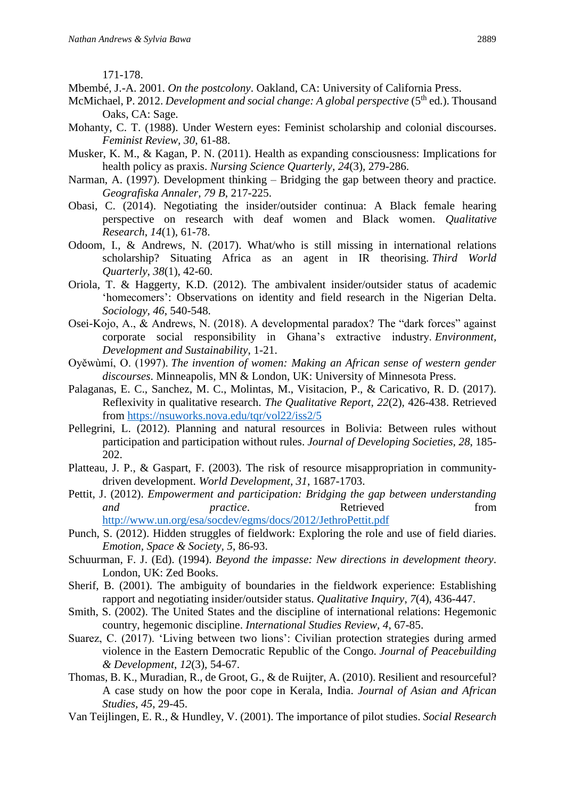171-178.

- Mbembé, J.-A. 2001. *On the postcolony*. Oakland, CA: University of California Press.
- McMichael, P. 2012. *Development and social change: A global perspective* (5<sup>th</sup> ed.). Thousand Oaks, CA: Sage.
- Mohanty, C. T. (1988). Under Western eyes: Feminist scholarship and colonial discourses. *Feminist Review, 30*, 61-88.
- Musker, K. M., & Kagan, P. N. (2011). Health as expanding consciousness: Implications for health policy as praxis. *Nursing Science Quarterly*, *24*(3), 279-286.
- Narman, A. (1997). Development thinking Bridging the gap between theory and practice. *Geografiska Annaler, 79 B*, 217-225.
- Obasi, C. (2014). Negotiating the insider/outsider continua: A Black female hearing perspective on research with deaf women and Black women. *Qualitative Research*, *14*(1), 61-78.
- Odoom, I., & Andrews, N. (2017). What/who is still missing in international relations scholarship? Situating Africa as an agent in IR theorising. *Third World Quarterly*, *38*(1), 42-60.
- Oriola, T. & Haggerty, K.D. (2012). The ambivalent insider/outsider status of academic 'homecomers': Observations on identity and field research in the Nigerian Delta. *Sociology, 46*, 540-548.
- Osei-Kojo, A., & Andrews, N. (2018). A developmental paradox? The "dark forces" against corporate social responsibility in Ghana's extractive industry. *Environment, Development and Sustainability*, 1-21.
- Oyěwùmí, O. (1997). *The invention of women: Making an African sense of western gender discourses*. Minneapolis, MN & London, UK: University of Minnesota Press.
- Palaganas, E. C., Sanchez, M. C., Molintas, M., Visitacion, P., & Caricativo, R. D. (2017). Reflexivity in qualitative research. *The Qualitative Report, 22*(2), 426-438. Retrieved from<https://nsuworks.nova.edu/tqr/vol22/iss2/5>
- Pellegrini, L. (2012). Planning and natural resources in Bolivia: Between rules without participation and participation without rules. *Journal of Developing Societies, 28*, 185- 202.
- Platteau, J. P., & Gaspart, F. (2003). The risk of resource misappropriation in communitydriven development. *World Development, 31*, 1687-1703.
- Pettit, J. (2012). *Empowerment and participation: Bridging the gap between understanding and practice*. Retrieved **heating** from <http://www.un.org/esa/socdev/egms/docs/2012/JethroPettit.pdf>
- Punch, S. (2012). Hidden struggles of fieldwork: Exploring the role and use of field diaries. *Emotion, Space & Society, 5*, 86-93.
- Schuurman, F. J. (Ed). (1994). *Beyond the impasse: New directions in development theory*. London, UK: Zed Books.
- Sherif, B. (2001). The ambiguity of boundaries in the fieldwork experience: Establishing rapport and negotiating insider/outsider status. *Qualitative Inquiry*, *7*(4), 436-447.
- Smith, S. (2002). The United States and the discipline of international relations: Hegemonic country, hegemonic discipline. *International Studies Review, 4*, 67-85.
- Suarez, C. (2017). 'Living between two lions': Civilian protection strategies during armed violence in the Eastern Democratic Republic of the Congo. *Journal of Peacebuilding & Development*, *12*(3), 54-67.
- Thomas, B. K., Muradian, R., de Groot, G., & de Ruijter, A. (2010). Resilient and resourceful? A case study on how the poor cope in Kerala, India. *Journal of Asian and African Studies, 45*, 29-45.
- Van Teijlingen, E. R., & Hundley, V. (2001). The importance of pilot studies. *Social Research*